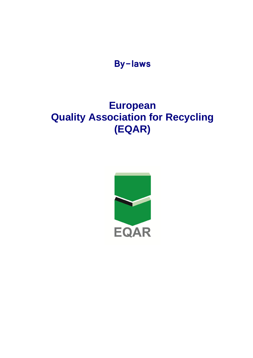

# **European Quality Association for Recycling (EQAR)**

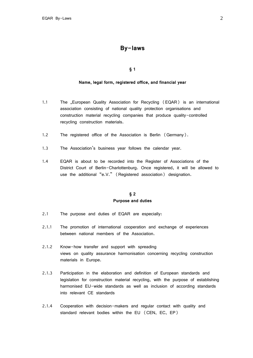# **By-laws**

**§ 1**

#### **Name, legal form, registered office, and financial year**

- 1.1 The "European Quality Association for Recycling (EQAR) is an international association consisting of national quality protection organisations and construction material recycling companies that produce quality-controlled recycling construction materials.
- 1.2 The registered office of the Association is Berlin (Germany).
- 1.3 The Association's business year follows the calendar year.
- 1.4 EQAR is about to be recorded into the Register of Associations of the District Court of Berlin-Charlottenburg. Once registered, it will be allowed to use the additional "e.V." (Registered association) designation.

# **§ 2 Purpose and duties**

- 2.1 The purpose and duties of EQAR are especially:
- 2.1.1 The promotion of international cooperation and exchange of experiences between national members of the Association.
- 2.1.2 Know-how transfer and support with spreading views on quality assurance harmonisation concerning recycling construction materials in Europe.
- 2.1.3 Participation in the elaboration and definition of European standards and legislation for construction material recycling, with the purpose of establishing harmonised EU-wide standards as well as inclusion of according standards into relevant CE standards
- 2.1.4 Cooperation with decision-makers and regular contact with quality and standard relevant bodies within the EU (CEN, EC, EP)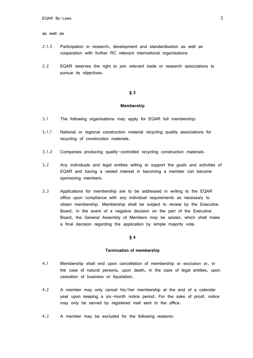#### as well as

- 2.1.5 Participation in research, development and standardisation as well as cooperation with further RC relevant international organisations
- 2.2 EQAR reserves the right to join relevant trade or research associations to pursue its objectives.

#### **§ 3**

#### **Membership**

- 3.1 The following organisations may apply for EQAR full membership:
- 3.1.1 National or regional construction material recycling quality associations for recycling of construction materials.
- 3.1.2 Companies producing quality-controlled recycling construction materials.
- 3.2 Any individuals and legal entities willing to support the goals and activities of EQAR and having a vested interest in becoming a member can become sponsoring members.
- 3.3 Applications for membership are to be addressed in writing to the EQAR office upon compliance with any individual requirements as necessary to obtain membership. Membership shall be subject to review by the Executive Board. In the event of a negative decision on the part of the Executive Board, the General Assembly of Members may be seized, which shall make a final decision regarding the application by simple majority vote.

#### **§ 4**

#### **Termination of membership**

- 4.1 Membership shall end upon cancellation of membership or exclusion or, in the case of natural persons, upon death, in the case of legal entities, upon cessation of business or liquidation.
- 4.2 A member may only cancel his/her membership at the end of a calendar year upon keeping a six-month notice period. For the sake of proof, notice may only be served by registered mail sent to the office.
- 4.3 A member may be excluded for the following reasons: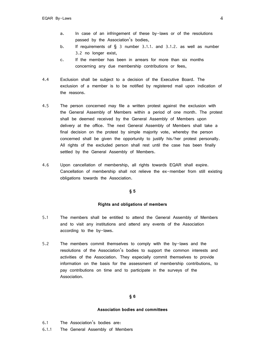- a. In case of an infringement of these by-laws or of the resolutions passed by the Association's bodies,
- b. If requirements of § 3 number 3.1.1. and 3.1.2. as well as number 3.2 no longer exist,
- c. If the member has been in arrears for more than six months concerning any due membership contributions or fees,
- 4.4 Exclusion shall be subject to a decision of the Executive Board. The exclusion of a member is to be notified by registered mail upon indication of the reasons.
- 4.5 The person concerned may file a written protest against the exclusion with the General Assembly of Members within a period of one month. The protest shall be deemed received by the General Assembly of Members upon delivery at the office. The next General Assembly of Members shall take a final decision on the protest by simple majority vote, whereby the person concerned shall be given the opportunity to justify his/her protest personally. All rights of the excluded person shall rest until the case has been finally settled by the General Assembly of Members.
- 4.6 Upon cancellation of membership, all rights towards EQAR shall expire. Cancellation of membership shall not relieve the ex-member from still existing obligations towards the Association.

#### **§ 5**

#### **Rights and obligations of members**

- 5.1 The members shall be entitled to attend the General Assembly of Members and to visit any institutions and attend any events of the Association according to the by-laws.
- 5.2 The members commit themselves to comply with the by-laws and the resolutions of the Association's bodies to support the common interests and activities of the Association. They especially commit themselves to provide information on the basis for the assessment of membership contributions, to pay contributions on time and to participate in the surveys of the Association.

## **§ 6**

#### **Association bodies and committees**

- 6.1 The Association's bodies are:
- 6.1.1 The General Assembly of Members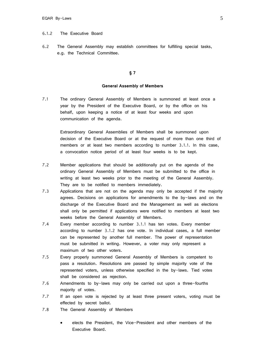#### 6.1.2 The Executive Board

6.2 The General Assembly may establish committees for fulfilling special tasks, e.g. the Technical Committee.

### **§ 7**

#### **General Assembly of Members**

7.1 The ordinary General Assembly of Members is summoned at least once a year by the President of the Executive Board, or by the office on his behalf, upon keeping a notice of at least four weeks and upon communication of the agenda.

> Extraordinary General Assemblies of Members shall be summoned upon decision of the Executive Board or at the request of more than one third of members or at least two members according to number 3.1.1. In this case, a convocation notice period of at least four weeks is to be kept.

- 7.2 Member applications that should be additionally put on the agenda of the ordinary General Assembly of Members must be submitted to the office in writing at least two weeks prior to the meeting of the General Assembly. They are to be notified to members immediately.
- 7.3 Applications that are not on the agenda may only be accepted if the majority agrees. Decisions on applications for amendments to the by-laws and on the discharge of the Executive Board and the Management as well as elections shall only be permitted if applications were notified to members at least two weeks before the General Assembly of Members.
- 7.4 Every member according to number 3.1.1 has ten votes. Every member according to number 3.1.2 has one vote. In individual cases, a full member can be represented by another full member. The power of representation must be submitted in writing. However, a voter may only represent a maximum of two other voters.
- 7.5 Every properly summoned General Assembly of Members is competent to pass a resolution. Resolutions are passed by simple majority vote of the represented voters, unless otherwise specified in the by-laws. Tied votes shall be considered as rejection.
- 7.6 Amendments to by-laws may only be carried out upon a three-fourths majority of votes.
- 7.7 If an open vote is rejected by at least three present voters, voting must be effected by secret ballot.
- 7.8 The General Assembly of Members
	- elects the President, the Vice-President and other members of the Executive Board.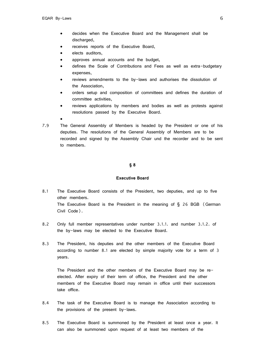- decides when the Executive Board and the Management shall be discharged,
- receives reports of the Executive Board,
- elects auditors,
- approves annual accounts and the budget,
- defines the Scale of Contributions and Fees as well as extra-budgetary expenses,
- reviews amendments to the by-laws and authorises the dissolution of the Association,
- orders setup and composition of committees and defines the duration of committee activities,
- reviews applications by members and bodies as well as protests against resolutions passed by the Executive Board.
- 

 $\bullet$ 

7.9 The General Assembly of Members is headed by the President or one of his deputies. The resolutions of the General Assembly of Members are to be recorded and signed by the Assembly Chair und the recorder and to be sent to members.

#### **§ 8**

#### **Executive Board**

- 8.1 The Executive Board consists of the President, two deputies, and up to five other members. The Executive Board is the President in the meaning of  $\S$  26 BGB (German Civil Code).
- 8.2 Only full member representatives under number 3.1.1. and number 3.1.2. of the by-laws may be elected to the Executive Board.
- 8.3 The President, his deputies and the other members of the Executive Board according to number 8.1 are elected by simple majority vote for a term of 3 years.

The President and the other members of the Executive Board may be reelected. After expiry of their term of office, the President and the other members of the Executive Board may remain in office until their successors take office.

- 8.4 The task of the Executive Board is to manage the Association according to the provisions of the present by-laws.
- 8.5 The Executive Board is summoned by the President at least once a year. It can also be summoned upon request of at least two members of the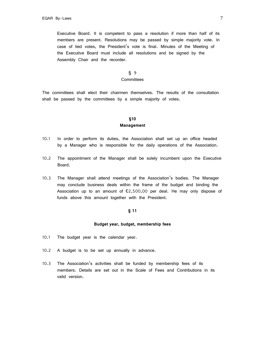Executive Board. It is competent to pass a resolution if more than half of its members are present. Resolutions may be passed by simple majority vote. In case of tied votes, the President's vote is final. Minutes of the Meeting of the Executive Board must include all resolutions and be signed by the Assembly Chair and the recorder.

# § 9

# **Committees**

The committees shall elect their chairmen themselves. The results of the consultation shall be passed by the committees by a simple majority of votes.

# **§10 Management**

- 10.1 In order to perform its duties, the Association shall set up an office headed by a Manager who is responsible for the daily operations of the Association.
- 10.2 The appointment of the Manager shall be solely incumbent upon the Executive Board.
- 10.3 The Manager shall attend meetings of the Association's bodies. The Manager may conclude business deals within the frame of the budget and binding the Association up to an amount of  $\epsilon$ 2,500,00 per deal. He may only dispose of funds above this amount together with the President.

#### **§ 11**

#### **Budget year, budget, membership fees**

- 10.1 The budget year is the calendar year.
- 10.2 A budget is to be set up annually in advance.
- 10.3 The Association's activities shall be funded by membership fees of its members. Details are set out in the Scale of Fees and Contributions in its valid version.